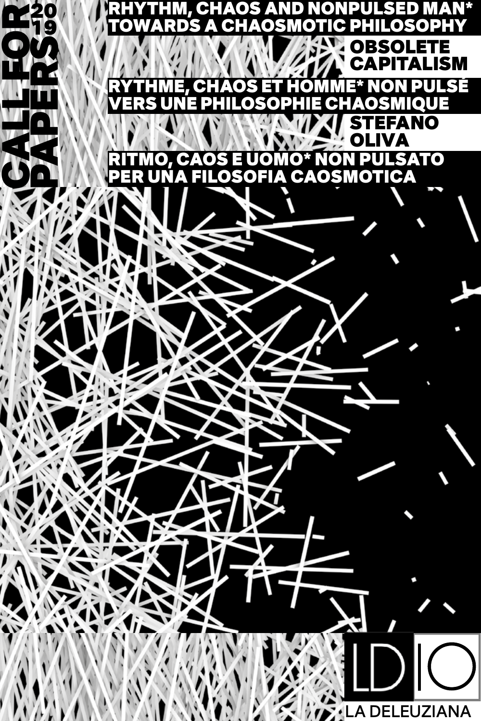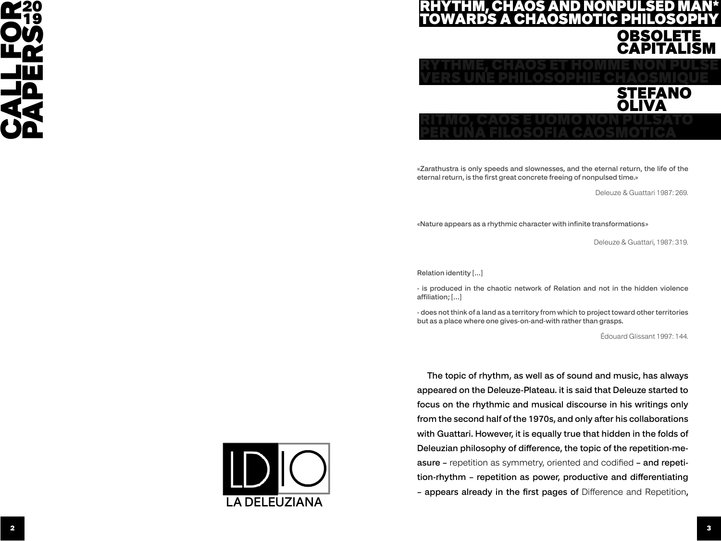

# M, CHAOS AND NONPULSED MAN\* SMOTIC PHILOSO OBSOLETE CAPITA



«Zarathustra is only speeds and slownesses, and the eternal return, the life of the eternal return, is the first great concrete freeing of nonpulsed time.»

Deleuze & Guattari 1987: 269.

«Nature appears as a rhythmic character with infinite transformations»

Deleuze & Guattari, 1987: 319.

Relation identity […]

- is produced in the chaotic network of Relation and not in the hidden violence affiliation; […]

- does not think of a land as a territory from which to project toward other territories but as a place where one gives-on-and-with rather than grasps.

Édouard Glissant 1997: 144.

22 CALL FOR THE CONTRACT CONTRACT CONTRACT CONTRACT CONTRACT CONTRACT CONTRACT CONTRACT CONTRACT CONTRACT CONTRACT CONTRACT CONTRACT CONTRACT CONTRACT CONTRACT CONTRACT CONTRACT CONTRACT CONTRACT CONTRACT CONTRACT CONTRAC The topic of rhythm, as well as of sound and music, has always appeared on the Deleuze-Plateau. it is said that Deleuze started to focus on the rhythmic and musical discourse in his writings only from the second half of the 1970s, and only after his collaborations with Guattari. However, it is equally true that hidden in the folds of Deleuzian philosophy of difference, the topic of the repetition-measure – repetition as symmetry, oriented and codified – and repetition-rhythm – repetition as power, productive and differentiating – appears already in the first pages of Difference and Repetition,

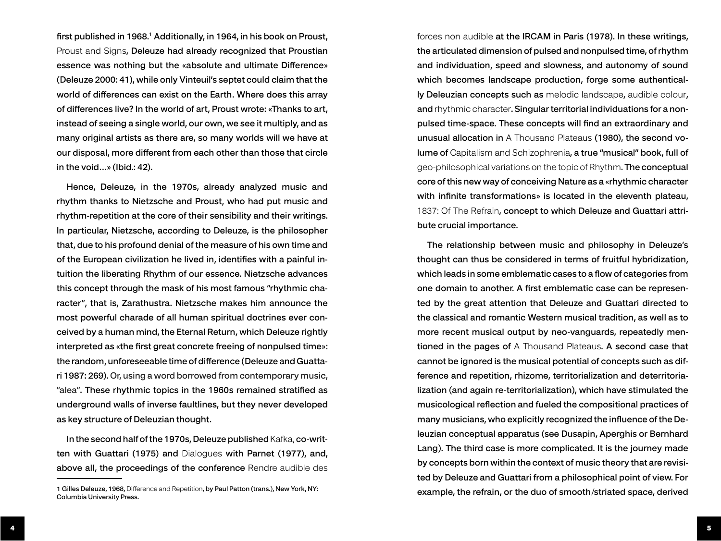first published in 1968.1 Additionally, in 1964, in his book on Proust, Proust and Signs, Deleuze had already recognized that Proustian essence was nothing but the «absolute and ultimate Difference» (Deleuze 2000: 41), while only Vinteuil's septet could claim that the world of differences can exist on the Earth. Where does this array of differences live? In the world of art, Proust wrote: «Thanks to art, instead of seeing a single world, our own, we see it multiply, and as many original artists as there are, so many worlds will we have at our disposal, more different from each other than those that circle in the void…» (Ibid.: 42).

Hence, Deleuze, in the 1970s, already analyzed music and rhythm thanks to Nietzsche and Proust, who had put music and rhythm-repetition at the core of their sensibility and their writings. In particular, Nietzsche, according to Deleuze, is the philosopher that, due to his profound denial of the measure of his own time and of the European civilization he lived in, identifies with a painful intuition the liberating Rhythm of our essence. Nietzsche advances this concept through the mask of his most famous "rhythmic character", that is, Zarathustra. Nietzsche makes him announce the most powerful charade of all human spiritual doctrines ever conceived by a human mind, the Eternal Return, which Deleuze rightly interpreted as «the first great concrete freeing of nonpulsed time»: the random, unforeseeable time of difference (Deleuze and Guattari 1987: 269). Or, using a word borrowed from contemporary music, "alea". These rhythmic topics in the 1960s remained stratified as underground walls of inverse faultlines, but they never developed as key structure of Deleuzian thought.

In the second half of the 1970s, Deleuze published Kafka, co-written with Guattari (1975) and Dialogues with Parnet (1977), and, above all, the proceedings of the conference Rendre audible des

forces non audible at the IRCAM in Paris (1978). In these writings, the articulated dimension of pulsed and nonpulsed time, of rhythm and individuation, speed and slowness, and autonomy of sound which becomes landscape production, forge some authentically Deleuzian concepts such as melodic landscape, audible colour, and rhythmic character. Singular territorial individuations for a nonpulsed time-space. These concepts will find an extraordinary and unusual allocation in A Thousand Plateaus (1980), the second volume of Capitalism and Schizophrenia, a true "musical" book, full of geo-philosophical variations on the topic of Rhythm. The conceptual core of this new way of conceiving Nature as a «rhythmic character with infinite transformations» is located in the eleventh plateau, 1837: Of The Refrain, concept to which Deleuze and Guattari attribute crucial importance.

The relationship between music and philosophy in Deleuze's thought can thus be considered in terms of fruitful hybridization, which leads in some emblematic cases to a flow of categories from one domain to another. A first emblematic case can be represented by the great attention that Deleuze and Guattari directed to the classical and romantic Western musical tradition, as well as to more recent musical output by neo-vanguards, repeatedly mentioned in the pages of A Thousand Plateaus. A second case that cannot be ignored is the musical potential of concepts such as difference and repetition, rhizome, territorialization and deterritorialization (and again re-territorialization), which have stimulated the musicological reflection and fueled the compositional practices of many musicians, who explicitly recognized the influence of the Deleuzian conceptual apparatus (see Dusapin, Aperghis or Bernhard Lang). The third case is more complicated. It is the journey made by concepts born within the context of music theory that are revisited by Deleuze and Guattari from a philosophical point of view. For example, the refrain, or the duo of smooth/striated space, derived

<sup>1</sup> Gilles Deleuze, 1968, Difference and Repetition, by Paul Patton (trans.), New York, NY: Columbia University Press.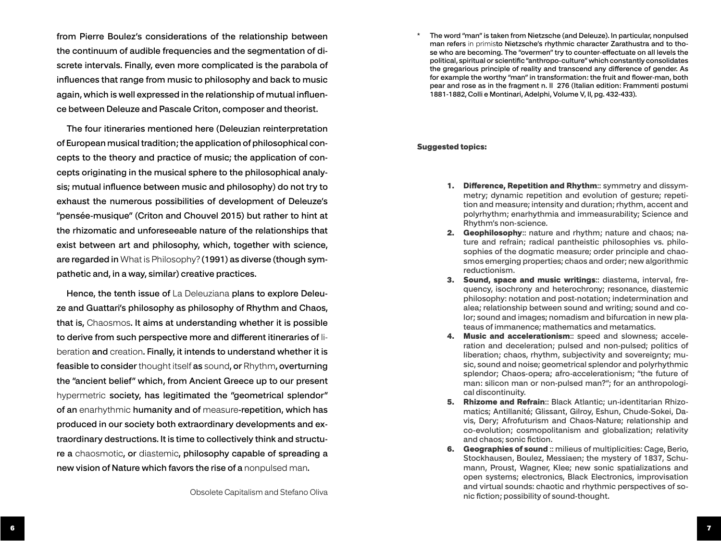from Pierre Boulez's considerations of the relationship between the continuum of audible frequencies and the segmentation of di screte intervals. Finally, even more complicated is the parabola of influences that range from music to philosophy and back to music again, which is well expressed in the relationship of mutual influen ce between Deleuze and Pascale Criton, composer and theorist.

The four itineraries mentioned here (Deleuzian reinterpretation of European musical tradition; the application of philosophical con cepts to the theory and practice of music; the application of con cepts originating in the musical sphere to the philosophical analy sis; mutual influence between music and philosophy) do not try to exhaust the numerous possibilities of development of Deleuze's "pensée-musique" (Criton and Chouvel 2015) but rather to hint at the rhizomatic and unforeseeable nature of the relationships that exist between art and philosophy, which, together with science, are regarded in What is Philosophy? (1991) as diverse (though sym pathetic and, in a way, similar) creative practices.

Hence, the tenth issue of La Deleuziana plans to explore Deleuze and Guattari's philosophy as philosophy of Rhythm and Chaos, that is, Chaosmos. It aims at understanding whether it is possible to derive from such perspective more and different itineraries of li beration and creation. Finally, it intends to understand whether it is feasible to consider thought itself as sound, or Rhythm, overturning the "ancient belief" which, from Ancient Greece up to our present hypermetric society, has legitimated the "geometrical splendor" of an enarhythmic humanity and of measure-repetition, which has produced in our society both extraordinary developments and ex traordinary destructions. It is time to collectively think and structu re a chaosmotic, or diastemic, philosophy capable of spreading a new vision of Nature which favors the rise of a nonpulsed man.

Obsolete Capitalism and Stefano Oliva

\* The word "man" is taken from Nietzsche (and Deleuze). In particular, nonpulsed man refers in primisto Nietzsche's rhythmic character Zarathustra and to tho se who are becoming. The "overmen" try to counter-effectuate on all levels the political, spiritual or scientific "anthropo-culture" which constantly consolidates the gregarious principle of reality and transcend any difference of gender. As for example the worthy "man" in transformation: the fruit and flower-man, both pear and rose as in the fragment n. II 276 (Italian edition: Frammenti postumi 1881-1882, Colli e Montinari, Adelphi, Volume V, II, pg. 432-433).

#### Suggested topics:

- 1. Difference, Repetition and Rhythm:: symmetry and dissymmetry; dynamic repetition and evolution of gesture; repeti tion and measure; intensity and duration; rhythm, accent and polyrhythm; enarhythmia and immeasurability; Science and Rhythm's non-science.
- 2. Geophilosophy:: nature and rhythm; nature and chaos; nature and refrain; radical pantheistic philosophies vs. philo sophies of the dogmatic measure; order principle and chao smos emerging properties; chaos and order; new algorithmic reductionism.
- 3. Sound, space and music writings:: diastema, interval, frequency, isochrony and heterochrony; resonance, diastemic philosophy: notation and post-notation; indetermination and alea; relationship between sound and writing; sound and co lor; sound and images; nomadism and bifurcation in new pla teaus of immanence; mathematics and metamatics.
- 4. Music and accelerationism:: speed and slowness; acceleration and deceleration; pulsed and non-pulsed; politics of liberation; chaos, rhythm, subjectivity and sovereignty; mu sic, sound and noise; geometrical splendor and polyrhythmic splendor; Chaos-opera; afro-accelerationism; "the future of man: silicon man or non-pulsed man?"; for an anthropologi cal discontinuity.
- 5. Rhizome and Refrain:: Black Atlantic; un-identitarian Rhizomatics; Antillanité; Glissant, Gilroy, Eshun, Chude-Sokei, Da vis, Dery; Afrofuturism and Chaos-Nature; relationship and co-evolution; cosmopolitanism and globalization; relativity and chaos; sonic fiction.
- 6. Geographies of sound :: milieus of multiplicities: Cage, Berio, Stockhausen, Boulez, Messiaen; the mystery of 1837, Schu mann, Proust, Wagner, Klee; new sonic spatializations and open systems; electronics, Black Electronics, improvisation and virtual sounds: chaotic and rhythmic perspectives of so nic fiction; possibility of sound-thought.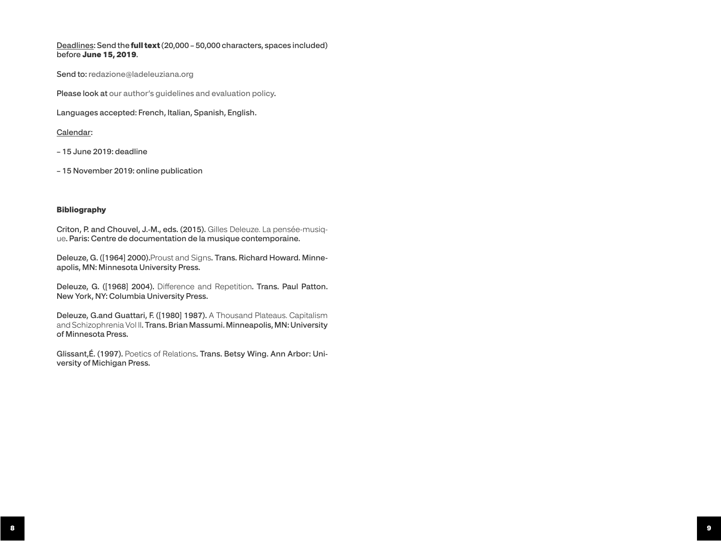### Deadlines: Send the full text (20,000 – 50,000 characters, spaces included) before June 15, 2019.

Send to: redazione@ladeleuziana.org

Please look at [our author's guidelines and evaluation policy.](http://www.ladeleuziana.org/rules-of-publication-and-policy-of-evaluation/)

Languages accepted: French, Italian, Spanish, English.

### Calendar:

- 15 June 2019: deadline
- 15 November 2019: online publication

### Bibliography

Criton, P. and Chouvel, J.-M., eds. (2015). Gilles Deleuze. La pensée-musique. Paris: Centre de documentation de la musique contemporaine.

Deleuze, G. ([1964] 2000).Proust and Signs. Trans. Richard Howard. Minneapolis, MN: Minnesota University Press.

Deleuze, G. ([1968] 2004). Difference and Repetition. Trans. Paul Patton. New York, NY: Columbia University Press.

Deleuze, G.and Guattari, F. ([1980] 1987). A Thousand Plateaus. Capitalism and Schizophrenia Vol II. Trans. Brian Massumi. Minneapolis, MN: University of Minnesota Press.

Glissant,É. (1997). Poetics of Relations. Trans. Betsy Wing. Ann Arbor: University of Michigan Press.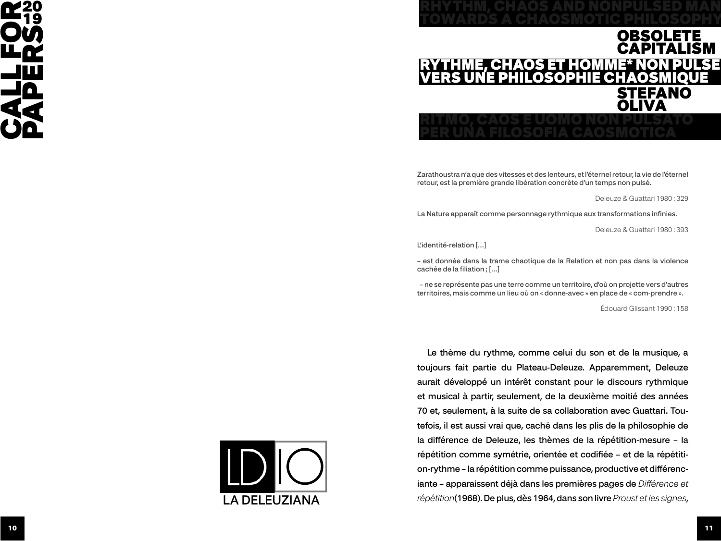

## RYTHME, CHAOS ET HOMME\* NON PULSÉ VERS UNE PHILOSOPHIE CHAOSMIQUE TOWARDS A CHAOSMOTIC PHILOSOPHY PER UNA FILOSOFIA CAOSMOTICA OBSOLETE CAPITALISM NO **OLIVA**

RHYTHM, CHAOS AND NONPULSED MAN

Zarathoustra n'a que des vitesses et des lenteurs, et l'éternel retour, la vie de l'éternel retour, est la première grande libération concrète d'un temps non pulsé.

Deleuze & Guattari 1980 : 329

La Nature apparaît comme personnage rythmique aux transformations infinies.

Deleuze & Guattari 1980 : 393

L'identité-relation […]

– est donnée dans la trame chaotique de la Relation et non pas dans la violence cachée de la filiation ; […]

 – ne se représente pas une terre comme un territoire, d'où on projette vers d'autres territoires, mais comme un lieu où on « donne-avec » en place de « com-prendre ».

Édouard Glissant 1990 : 158

Le thème du rythme, comme celui du son et de la musique, a toujours fait partie du Plateau-Deleuze. Apparemment, Deleuze aurait développé un intérêt constant pour le discours rythmique et musical à partir, seulement, de la deuxième moitié des années 70 et, seulement, à la suite de sa collaboration avec Guattari. Toutefois, il est aussi vrai que, caché dans les plis de la philosophie de la différence de Deleuze, les thèmes de la répétition-mesure – la répétition comme symétrie, orientée et codifiée – et de la répétition-rythme – la répétition comme puissance, productive et différenciante – apparaissent déjà dans les premières pages de *Différence et répétition*(1968). De plus, dès 1964, dans son livre *Proust et les signes*,

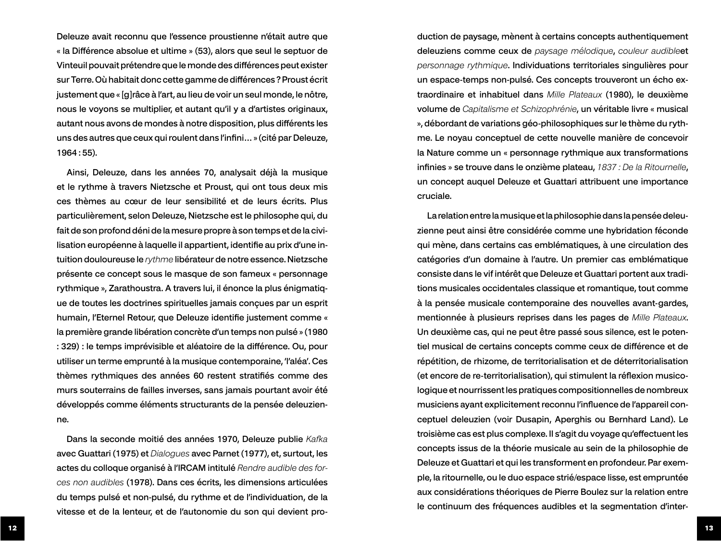Deleuze avait reconnu que l'essence proustienne n'était autre que « la Différence absolue et ultime » (53), alors que seul le septuor de Vinteuil pouvait prétendre que le monde des différences peut exister sur Terre. Où habitait donc cette gamme de différences ? Proust écrit justement que « [g]râce à l'art, au lieu de voir un seul monde, le nôtre, nous le voyons se multiplier, et autant qu'il y a d'artistes originaux, autant nous avons de mondes à notre disposition, plus différents les uns des autres que ceux qui roulent dans l'infini… » (cité par Deleuze, 1964 : 55).

Ainsi, Deleuze, dans les années 70, analysait déjà la musique et le rythme à travers Nietzsche et Proust, qui ont tous deux mis ces thèmes au cœur de leur sensibilité et de leurs écrits. Plus particulièrement, selon Deleuze, Nietzsche est le philosophe qui, du fait de son profond déni de la mesure propre à son temps et de la civilisation européenne à laquelle il appartient, identifie au prix d'une intuition douloureuse le *rythme* libérateur de notre essence. Nietzsche présente ce concept sous le masque de son fameux « personnage rythmique », Zarathoustra. A travers lui, il énonce la plus énigmatique de toutes les doctrines spirituelles jamais conçues par un esprit humain, l'Eternel Retour, que Deleuze identifie justement comme « la première grande libération concrète d'un temps non pulsé » (1980 : 329) : le temps imprévisible et aléatoire de la différence. Ou, pour utiliser un terme emprunté à la musique contemporaine, 'l'aléa'. Ces thèmes rythmiques des années 60 restent stratifiés comme des murs souterrains de failles inverses, sans jamais pourtant avoir été développés comme éléments structurants de la pensée deleuzienne.

Dans la seconde moitié des années 1970, Deleuze publie *Kafka*  avec Guattari (1975) et *Dialogues* avec Parnet (1977), et, surtout, les actes du colloque organisé à l'IRCAM intitulé *Rendre audible des forces non audibles* (1978). Dans ces écrits, les dimensions articulées du temps pulsé et non-pulsé, du rythme et de l'individuation, de la vitesse et de la lenteur, et de l'autonomie du son qui devient production de paysage, mènent à certains concepts authentiquement deleuziens comme ceux de *paysage mélodique*, *couleur audible*et *personnage rythmique*. Individuations territoriales singulières pour un espace-temps non-pulsé. Ces concepts trouveront un écho extraordinaire et inhabituel dans *Mille Plateaux* (1980), le deuxième volume de *Capitalisme et Schizophrénie*, un véritable livre « musical », débordant de variations géo-philosophiques sur le thème du rythme. Le noyau conceptuel de cette nouvelle manière de concevoir la Nature comme un « personnage rythmique aux transformations infinies » se trouve dans le onzième plateau, *1837 : De la Ritournelle*, un concept auquel Deleuze et Guattari attribuent une importance cruciale.

La relation entre la musique et la philosophie dans la pensée deleuzienne peut ainsi être considérée comme une hybridation féconde qui mène, dans certains cas emblématiques, à une circulation des catégories d'un domaine à l'autre. Un premier cas emblématique consiste dans le vif intérêt que Deleuze et Guattari portent aux traditions musicales occidentales classique et romantique, tout comme à la pensée musicale contemporaine des nouvelles avant-gardes, mentionnée à plusieurs reprises dans les pages de *Mille Plateaux*. Un deuxième cas, qui ne peut être passé sous silence, est le potentiel musical de certains concepts comme ceux de différence et de répétition, de rhizome, de territorialisation et de déterritorialisation (et encore de re-territorialisation), qui stimulent la réflexion musicologique et nourrissent les pratiques compositionnelles de nombreux musiciens ayant explicitement reconnu l'influence de l'appareil conceptuel deleuzien (voir Dusapin, Aperghis ou Bernhard Land). Le troisième cas est plus complexe. Il s'agit du voyage qu'effectuent les concepts issus de la théorie musicale au sein de la philosophie de Deleuze et Guattari et qui les transforment en profondeur. Par exemple, la ritournelle, ou le duo espace strié/espace lisse, est empruntée aux considérations théoriques de Pierre Boulez sur la relation entre le continuum des fréquences audibles et la segmentation d'inter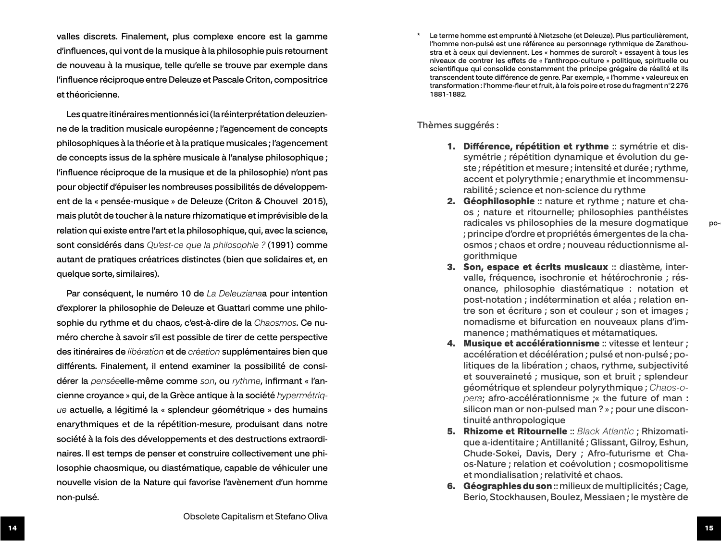valles discrets. Finalement, plus complexe encore est la gamme d'influences, qui vont de la musique à la philosophie puis retournent de nouveau à la musique, telle qu'elle se trouve par exemple dans l'influence réciproque entre Deleuze et Pascale Criton, compositrice et théoricienne.

Les quatre itinéraires mentionnés ici (la réinterprétation deleuzien ne de la tradition musicale européenne ; l'agencement de concepts philosophiques à la théorie et à la pratique musicales ; l'agencement de concepts issus de la sphère musicale à l'analyse philosophique ; l'influence réciproque de la musique et de la philosophie) n'ont pas pour objectif d'épuiser les nombreuses possibilités de développem ent de la « pensée-musique » de Deleuze (Criton & Chouvel 2015), mais plutôt de toucher à la nature rhizomatique et imprévisible de la relation qui existe entre l'art et la philosophique, qui, avec la science, sont considérés dans *Qu'est-ce que la philosophie ?* (1991) comme autant de pratiques créatrices distinctes (bien que solidaires et, en quelque sorte, similaires).

Par conséquent, le numéro 10 de *La Deleuziana*a pour intention d'explorer la philosophie de Deleuze et Guattari comme une philo sophie du rythme et du chaos, c'est-à-dire de la *Chaosmos*. Ce nu méro cherche à savoir s'il est possible de tirer de cette perspective des itinéraires de *libération* et de *création* supplémentaires bien que différents. Finalement, il entend examiner la possibilité de consi dérer la *pensée*elle-même comme *son*, ou *rythme*, infirmant « l'an cienne croyance » qui, de la Grèce antique à la société *hypermétriq ue* actuelle, a légitimé la « splendeur géométrique » des humains enarythmiques et de la répétition-mesure, produisant dans notre société à la fois des développements et des destructions extraordi naires. Il est temps de penser et construire collectivement une phi losophie chaosmique, ou diastématique, capable de véhiculer une nouvelle vision de la Nature qui favorise l'avènement d'un homme non-pulsé.

Le terme homme est emprunté à Nietzsche (et Deleuze). Plus particulièrement, l'homme non-pulsé est une référence au personnage rythmique de Zarathou stra et à ceux qui deviennent. Les « hommes de surcroît » essayent à tous les niveaux de contrer les effets de « l'anthropo-culture » politique, spirituelle ou scientifique qui consolide constamment the principe grégaire de réalité et ils transcendent toute différence de genre. Par exemple, « l'homme » valeureux en transformation : l'homme-fleur et fruit, à la fois poire et rose du fragment n°2 276 1881-1882.

Thèmes suggérés :

- 1. Différence, répétition et rythme :: symétrie et dissymétrie ; répétition dynamique et évolution du ge ste ; répétition et mesure ; intensité et durée ; rythme, accent et polyrythmie ; enarythmie et incommensu rabilité ; science et non-science du rythme
- **2. Géophilosophie** :: nature et rythme ; nature et chaos ; nature et ritournelle; philosophies panthéistes radicales vs philosophies de la mesure dogmatique ; principe d'ordre et propriétés émergentes de la cha osmos ; chaos et ordre ; nouveau réductionnisme al gorithmique
- 3. Son, espace et écrits musicaux :: diastème, intervalle, fréquence, isochronie et hétérochronie ; rés onance, philosophie diastématique : notation et post-notation ; indétermination et aléa ; relation en tre son et écriture ; son et couleur ; son et images ; nomadisme et bifurcation en nouveaux plans d'im manence ; mathématiques et métamatiques.
- 4. Musique et accélérationnisme :: vitesse et lenteur : accélération et décélération ; pulsé et non-pulsé ; po litiques de la libération ; chaos, rythme, subjectivité et souveraineté ; musique, son et bruit ; splendeur géométrique et splendeur polyrythmique ; *Chaos-o pera*; afro-accélérationnisme ;« the future of man : silicon man or non-pulsed man ? » ; pour une discon tinuité anthropologique
- 5. Rhizome et Ritournelle :: *Black Atlantic* ; Rhizomati que a-identitaire ; Antillanité ; Glissant, Gilroy, Eshun, Chude-Sokei, Davis, Dery ; Afro-futurisme et Cha os-Nature ; relation et coévolution ; cosmopolitisme et mondialisation ; relativité et chaos.
- 6. Géographies du son :: milieux de multiplicités ; Cage, Berio, Stockhausen, Boulez, Messiaen ; le mystère de

po-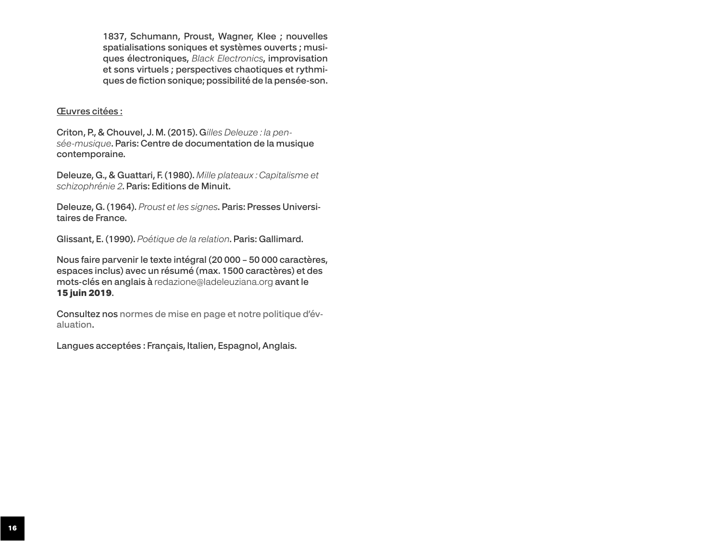1837, Schumann, Proust, Wagner, Klee ; nouvelles spatialisations soniques et systèmes ouverts ; musiques électroniques, *Black Electronics*, improvisation et sons virtuels ; perspectives chaotiques et rythmiques de fiction sonique; possibilité de la pensée-son.

## Œuvres citées :

Criton, P., & Chouvel, J. M. (2015). G*illes Deleuze : la pensée-musique*. Paris: Centre de documentation de la musique contemporaine.

Deleuze, G., & Guattari, F. (1980). *Mille plateaux : Capitalisme et schizophrénie 2*. Paris: Editions de Minuit.

Deleuze, G. (1964). *Proust et les signes*. Paris: Presses Universitaires de France.

Glissant, E. (1990). *Poétique de la relation*. Paris: Gallimard.

Nous faire parvenir le texte intégral (20 000 – 50 000 caractères, espaces inclus) avec un résumé (max. 1500 caractères) et des mots-clés en anglais à redazione@ladeleuziana.org avant le 15 juin 2019.

Consultez nos [normes de mise en page et notre politique d'év](http://www.ladeleuziana.org/?p=691)[aluation](http://www.ladeleuziana.org/?p=691).

Langues acceptées : Français, Italien, Espagnol, Anglais.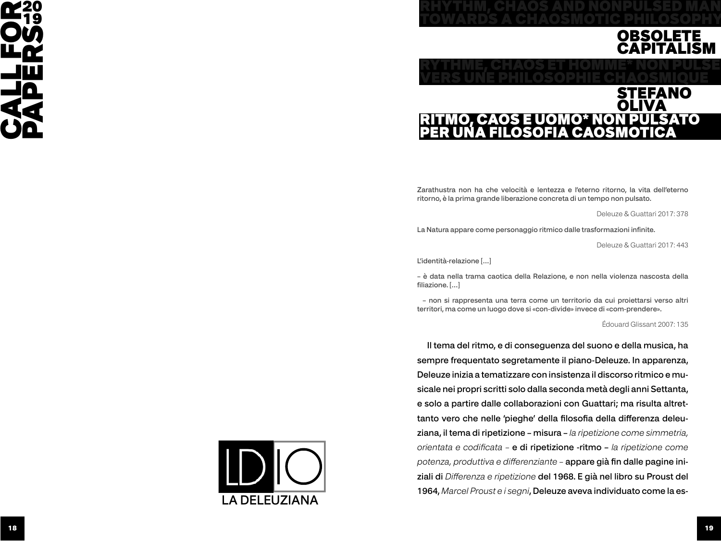



RHYTHM, CHAOS AND NONPULSED MAN

Zarathustra non ha che velocità e lentezza e l'eterno ritorno, la vita dell'eterno ritorno, è la prima grande liberazione concreta di un tempo non pulsato.

Deleuze & Guattari 2017: 378

La Natura appare come personaggio ritmico dalle trasformazioni infinite.

Deleuze & Guattari 2017: 443

L'identità-relazione […]

– è data nella trama caotica della Relazione, e non nella violenza nascosta della filiazione. […]

 – non si rappresenta una terra come un territorio da cui proiettarsi verso altri territori, ma come un luogo dove si «con-divide» invece di «com-prendere».

Édouard Glissant 2007: 135

Il tema del ritmo, e di conseguenza del suono e della musica, ha sempre frequentato segretamente il piano-Deleuze. In apparenza, Deleuze inizia a tematizzare con insistenza il discorso ritmico e musicale nei propri scritti solo dalla seconda metà degli anni Settanta, e solo a partire dalle collaborazioni con Guattari; ma risulta altrettanto vero che nelle 'pieghe' della filosofia della differenza deleuziana, il tema di ripetizione – misura – *la ripetizione come simmetria, orientata e codificata –* e di ripetizione -ritmo – *la ripetizione come potenza, produttiva e differenziante –* appare già fin dalle pagine iniziali di *Differenza e ripetizione* del 1968. E già nel libro su Proust del 1964, *Marcel Proust e i segni*, Deleuze aveva individuato come la es-

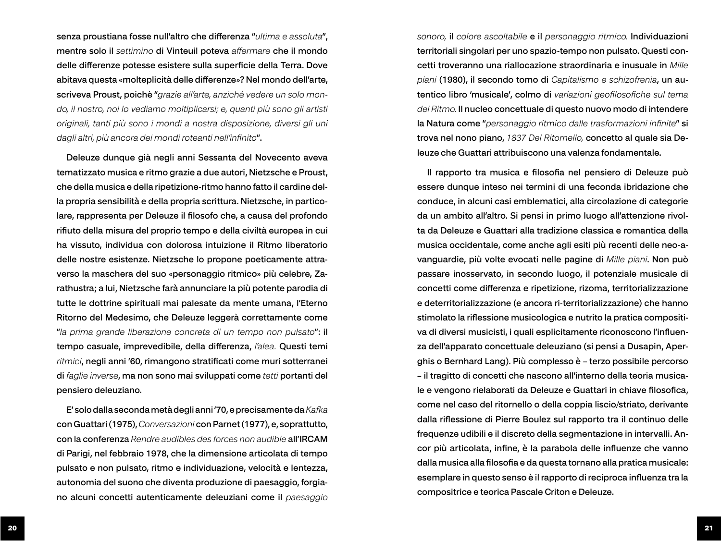senza proustiana fosse null'altro che differenza "*ultima e assoluta*", mentre solo il *settimino* di Vinteuil poteva *affermare* che il mondo delle differenze potesse esistere sulla superficie della Terra. Dove abitava questa «molteplicità delle differenze»? Nel mondo dell'arte, scriveva Proust, poichè "*grazie all'arte, anziché vedere un solo mondo, il nostro, noi lo vediamo moltiplicarsi; e, quanti più sono gli artisti originali, tanti più sono i mondi a nostra disposizione, diversi gli uni dagli altri, più ancora dei mondi roteanti nell'infinito*".

Deleuze dunque già negli anni Sessanta del Novecento aveva tematizzato musica e ritmo grazie a due autori, Nietzsche e Proust, che della musica e della ripetizione-ritmo hanno fatto il cardine della propria sensibilità e della propria scrittura. Nietzsche, in particolare, rappresenta per Deleuze il filosofo che, a causa del profondo rifiuto della misura del proprio tempo e della civiltà europea in cui ha vissuto, individua con dolorosa intuizione il Ritmo liberatorio delle nostre esistenze. Nietzsche lo propone poeticamente attraverso la maschera del suo «personaggio ritmico» più celebre, Zarathustra; a lui, Nietzsche farà annunciare la più potente parodia di tutte le dottrine spirituali mai palesate da mente umana, l'Eterno Ritorno del Medesimo, che Deleuze leggerà correttamente come "*la prima grande liberazione concreta di un tempo non pulsato*": il tempo casuale, imprevedibile, della differenza, *l'alea.* Questi temi *ritmici*, negli anni '60, rimangono stratificati come muri sotterranei di *faglie inverse*, ma non sono mai sviluppati come *tetti* portanti del pensiero deleuziano.

E' solo dalla seconda metà degli anni '70, e precisamente da *Kafka*  con Guattari (1975), *Conversazioni* con Parnet (1977), e, soprattutto, con la conferenza *Rendre audibles des forces non audible* all'IRCAM di Parigi, nel febbraio 1978, che la dimensione articolata di tempo pulsato e non pulsato, ritmo e individuazione, velocità e lentezza, autonomia del suono che diventa produzione di paesaggio, forgiano alcuni concetti autenticamente deleuziani come il *paesaggio*  *sonoro,* il *colore ascoltabile* e il *personaggio ritmico.* Individuazioni territoriali singolari per uno spazio-tempo non pulsato. Questi concetti troveranno una riallocazione straordinaria e inusuale in *Mille piani* (1980), il secondo tomo di *Capitalismo e schizofrenia*, un autentico libro 'musicale', colmo di *variazioni geofilosofiche sul tema del Ritmo.* Il nucleo concettuale di questo nuovo modo di intendere la Natura come "*personaggio ritmico dalle trasformazioni infinite*" si trova nel nono piano, *1837 Del Ritornello,* concetto al quale sia Deleuze che Guattari attribuiscono una valenza fondamentale.

Il rapporto tra musica e filosofia nel pensiero di Deleuze può essere dunque inteso nei termini di una feconda ibridazione che conduce, in alcuni casi emblematici, alla circolazione di categorie da un ambito all'altro. Si pensi in primo luogo all'attenzione rivolta da Deleuze e Guattari alla tradizione classica e romantica della musica occidentale, come anche agli esiti più recenti delle neo-avanguardie, più volte evocati nelle pagine di *Mille piani*. Non può passare inosservato, in secondo luogo, il potenziale musicale di concetti come differenza e ripetizione, rizoma, territorializzazione e deterritorializzazione (e ancora ri-territorializzazione) che hanno stimolato la riflessione musicologica e nutrito la pratica compositiva di diversi musicisti, i quali esplicitamente riconoscono l'influenza dell'apparato concettuale deleuziano (si pensi a Dusapin, Aperghis o Bernhard Lang). Più complesso è – terzo possibile percorso – il tragitto di concetti che nascono all'interno della teoria musicale e vengono rielaborati da Deleuze e Guattari in chiave filosofica, come nel caso del ritornello o della coppia liscio/striato, derivante dalla riflessione di Pierre Boulez sul rapporto tra il continuo delle frequenze udibili e il discreto della segmentazione in intervalli. Ancor più articolata, infine, è la parabola delle influenze che vanno dalla musica alla filosofia e da questa tornano alla pratica musicale: esemplare in questo senso è il rapporto di reciproca influenza tra la compositrice e teorica Pascale Criton e Deleuze.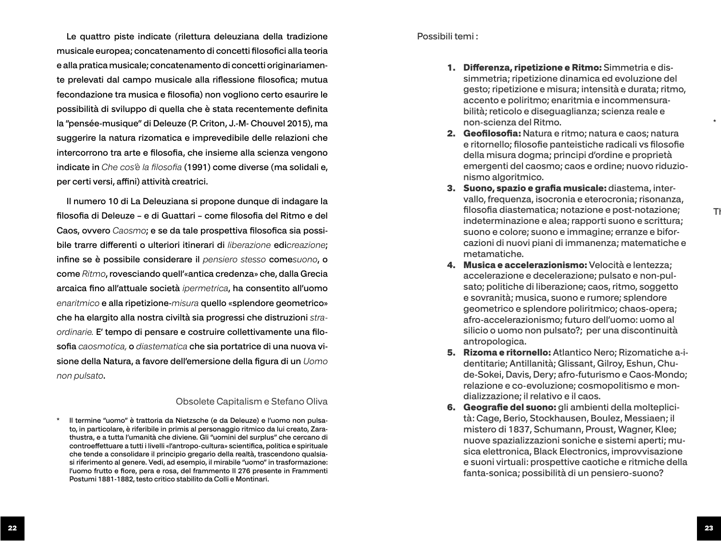Le quattro piste indicate (rilettura deleuziana della tradizione musicale europea; concatenamento di concetti filosofici alla teoria e alla pratica musicale; concatenamento di concetti originariamen te prelevati dal campo musicale alla riflessione filosofica; mutua fecondazione tra musica e filosofia) non vogliono certo esaurire le possibilità di sviluppo di quella che è stata recentemente definita la "pensée-musique" di Deleuze (P. Criton, J.-M- Chouvel 2015), ma suggerire la natura rizomatica e imprevedibile delle relazioni che intercorrono tra arte e filosofia, che insieme alla scienza vengono indicate in *Che cos'è la filosofia* (1991) come diverse (ma solidali e, per certi versi, affini) attività creatrici.

Il numero 10 di La Deleuziana si propone dunque di indagare la filosofia di Deleuze – e di Guattari – come filosofia del Ritmo e del Caos, ovvero *Caosmo*; e se da tale prospettiva filosofica sia possi bile trarre differenti o ulteriori itinerari di *liberazione* edi*creazione*; infine se è possibile considerare il *pensiero stesso* come*suono*, o come *Ritmo*, rovesciando quell'«antica credenza» che, dalla Grecia arcaica fino all'attuale società *ipermetrica*, ha consentito all'uomo *enaritmico* e alla ripetizione-*misura* quello «splendore geometrico» che ha elargito alla nostra civiltà sia progressi che distruzioni *stra ordinarie.* E' tempo di pensare e costruire collettivamente una filo sofia *caosmotica,* o *diastematica* che sia portatrice di una nuova vi sione della Natura, a favore dell'emersione della figura di un *Uomo non pulsato* .

### Obsolete Capitalism e Stefano Oliva

\* Il termine "uomo" è trattoria da Nietzsche (e da Deleuze) e l'uomo non pulsa to, in particolare, è riferibile in primis al personaggio ritmico da lui creato, Zara thustra, e a tutta l'umanità che diviene. Gli "uomini del surplus" che cercano di controeffettuare a tutti i livelli «l'antropo-cultura» scientifica, politica e spirituale che tende a consolidare il principio gregario della realtà, trascendono qualsia si riferimento al genere. Vedi, ad esempio, il mirabile "uomo" in trasformazione: l'uomo frutto e fiore, pera e rosa, del frammento II 276 presente in Frammenti Postumi 1881-1882, testo critico stabilito da Colli e Montinari.

### Possibili temi :

- 1. Differenza, ripetizione e Ritmo: Simmetria e dissimmetria; ripetizione dinamica ed evoluzione del gesto; ripetizione e misura; intensità e durata; ritmo, accento e poliritmo; enaritmia e incommensura bilità; reticolo e diseguaglianza; scienza reale e non-scienza del Ritmo.
- 2. Geofilosofia: Natura e ritmo; natura e caos; natura e ritornello; filosofie panteistiche radicali vs filosofie della misura dogma; principi d'ordine e proprietà emergenti del caosmo; caos e ordine; nuovo riduzio nismo algoritmico.
- 3. Suono, spazio e grafia musicale: diastema, inter vallo, frequenza, isocronia e eterocronia; risonanza, filosofia diastematica; notazione e post-notazione; indeterminazione e alea; rapporti suono e scrittura; suono e colore; suono e immagine; erranze e bifor cazioni di nuovi piani di immanenza; matematiche e metamatiche.
- 4. Musica e accelerazionismo: Velocità e lentezza; accelerazione e decelerazione; pulsato e non-pul sato; politiche di liberazione; caos, ritmo, soggetto e sovranità; musica, suono e rumore; splendore geometrico e splendore poliritmico; chaos-opera; afro-accelerazionismo; futuro dell'uomo: uomo al silicio o uomo non pulsato?; per una discontinuità antropologica.
- 5. Rizoma e ritornello: Atlantico Nero; Rizomatiche a-i dentitarie; Antillanità; Glissant, Gilroy, Eshun, Chu de-Sokei, Davis, Dery; afro-futurismo e Caos-Mondo; relazione e co-evoluzione; cosmopolitismo e mon dializzazione; il relativo e il caos.
- 6. Geografie del suono: gli ambienti della molteplicità: Cage, Berio, Stockhausen, Boulez, Messiaen; il mistero di 1837, Schumann, Proust, Wagner, Klee; nuove spazializzazioni soniche e sistemi aperti; mu sica elettronica, Black Electronics, improvvisazione e suoni virtuali: prospettive caotiche e ritmiche della fanta-sonica; possibilità di un pensiero-suono?

Tł

 $\star$